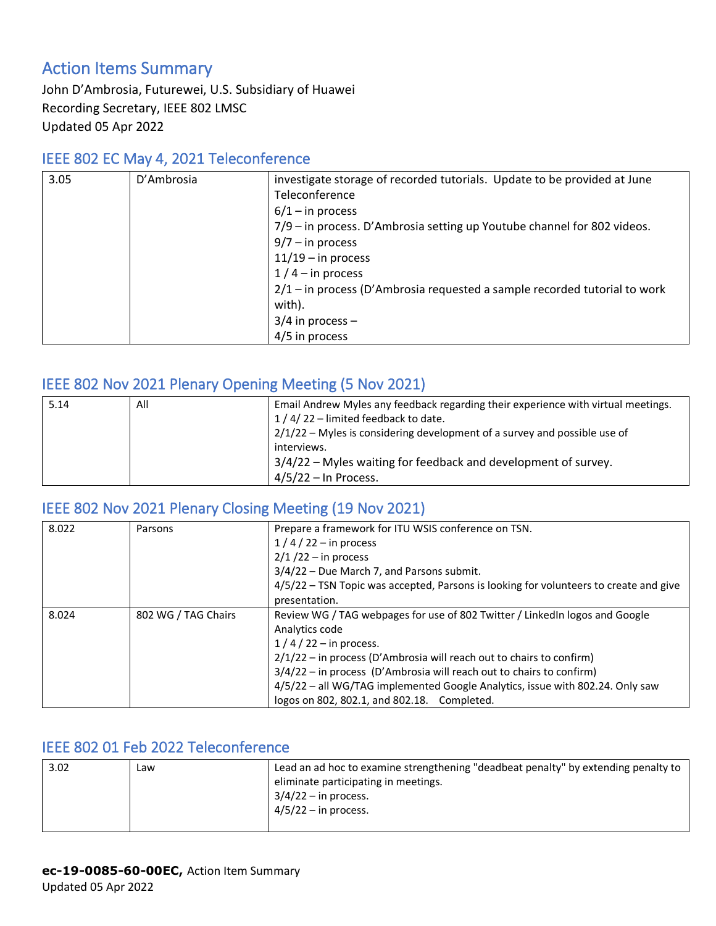# Action Items Summary

John D'Ambrosia, Futurewei, U.S. Subsidiary of Huawei Recording Secretary, IEEE 802 LMSC Updated 05 Apr 2022

#### IEEE 802 EC May 4, 2021 Teleconference

| 3.05 | D'Ambrosia | investigate storage of recorded tutorials. Update to be provided at June    |
|------|------------|-----------------------------------------------------------------------------|
|      |            | Teleconference                                                              |
|      |            | $6/1 -$ in process                                                          |
|      |            | 7/9 – in process. D'Ambrosia setting up Youtube channel for 802 videos.     |
|      |            | $9/7 - in process$                                                          |
|      |            | $11/19$ – in process                                                        |
|      |            | $1/4$ – in process                                                          |
|      |            | $2/1$ – in process (D'Ambrosia requested a sample recorded tutorial to work |
|      |            | with).                                                                      |
|      |            | $3/4$ in process –                                                          |
|      |            | 4/5 in process                                                              |

### IEEE 802 Nov 2021 Plenary Opening Meeting (5 Nov 2021)

| 5.14 | All | Email Andrew Myles any feedback regarding their experience with virtual meetings. |
|------|-----|-----------------------------------------------------------------------------------|
|      |     | $1/4/22$ – limited feedback to date.                                              |
|      |     | $2/1/22$ – Myles is considering development of a survey and possible use of       |
|      |     | interviews.                                                                       |
|      |     | 3/4/22 – Myles waiting for feedback and development of survey.                    |
|      |     | $4/5/22 - \ln$ Process.                                                           |

#### IEEE 802 Nov 2021 Plenary Closing Meeting (19 Nov 2021)

| 8.022 | Parsons             | Prepare a framework for ITU WSIS conference on TSN.                                   |
|-------|---------------------|---------------------------------------------------------------------------------------|
|       |                     | $1/4/22 - in$ process                                                                 |
|       |                     | $2/1/22 - in process$                                                                 |
|       |                     | 3/4/22 - Due March 7, and Parsons submit.                                             |
|       |                     | 4/5/22 - TSN Topic was accepted, Parsons is looking for volunteers to create and give |
|       |                     | presentation.                                                                         |
| 8.024 | 802 WG / TAG Chairs | Review WG / TAG webpages for use of 802 Twitter / LinkedIn logos and Google           |
|       |                     | Analytics code                                                                        |
|       |                     | $1/4/22$ – in process.                                                                |
|       |                     | $2/1/22$ – in process (D'Ambrosia will reach out to chairs to confirm)                |
|       |                     | $3/4/22$ – in process (D'Ambrosia will reach out to chairs to confirm)                |
|       |                     | 4/5/22 - all WG/TAG implemented Google Analytics, issue with 802.24. Only saw         |
|       |                     | logos on 802, 802.1, and 802.18. Completed.                                           |

### IEEE 802 01 Feb 2022 Teleconference

| 3.02 | Law | Lead an ad hoc to examine strengthening "deadbeat penalty" by extending penalty to |
|------|-----|------------------------------------------------------------------------------------|
|      |     | eliminate participating in meetings.                                               |
|      |     | $3/4/22$ – in process.                                                             |
|      |     | $4/5/22 - in$ process.                                                             |
|      |     |                                                                                    |